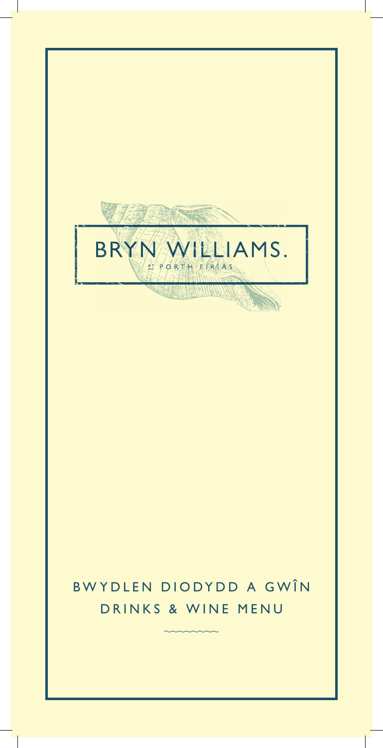

## BWYDLEN DIODYDD A GWÎN DRINKS & WINE MENU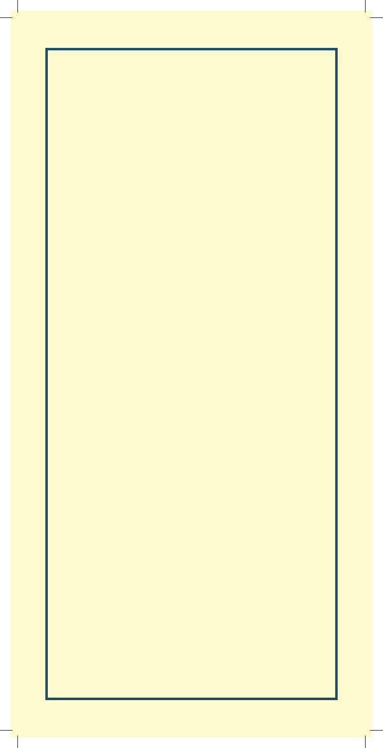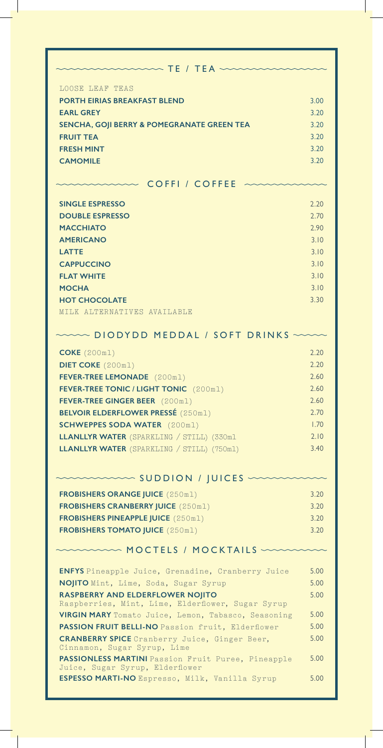| LOOSE LEAF TEAS                                       |      |
|-------------------------------------------------------|------|
| <b>PORTH EIRIAS BREAKFAST BLEND</b>                   | 3.00 |
| <b>EARL GREY</b>                                      | 3.20 |
| <b>SENCHA, GOJI BERRY &amp; POMEGRANATE GREEN TEA</b> | 3.20 |
| <b>FRUIT TEA</b>                                      | 3.20 |
| <b>FRESH MINT</b>                                     | 3.20 |
| <b>CAMOMILE</b>                                       | 3.20 |
|                                                       |      |

www.TE / TEA

## www COFFI / COFFEE www

| <b>SINGLE ESPRESSO</b>      | 2.20 |
|-----------------------------|------|
| <b>DOUBLE ESPRESSO</b>      | 2.70 |
| <b>MACCHIATO</b>            | 2.90 |
| <b>AMERICANO</b>            | 3.10 |
| <b>LATTE</b>                | 3.10 |
| <b>CAPPUCCINO</b>           | 3.10 |
| <b>FLAT WHITE</b>           | 3.10 |
| <b>MOCHA</b>                | 3.10 |
| <b>HOT CHOCOLATE</b>        | 3.30 |
| MILK ALTERNATIVES AVAILABLE |      |

| $\leadsto$ DIODYDD MEDDAL / SOFT DRINKS $\leadsto$ |
|----------------------------------------------------|
| 2.20                                               |
| 2.20                                               |
| 2.60                                               |
| 2.60                                               |
| 2.60                                               |
| 2.70                                               |
| 1.70                                               |
| 2.10                                               |
| 3.40                                               |
|                                                    |

| mmmmm SUDDION /  UICES mmmmm              |      |
|-------------------------------------------|------|
| <b>FROBISHERS ORANGE JUICE</b> (250ml)    | 3.20 |
| <b>FROBISHERS CRANBERRY JUICE</b> (250ml) | 3.20 |
| <b>FROBISHERS PINEAPPLE JUICE</b> (250ml) | 3.20 |
| <b>FROBISHERS TOMATO JUICE (250ml)</b>    | 3.20 |

## $\sim$  MOCTELS / MOCKTAILS  $\sim$

| <b>ENFYS</b> Pineapple Juice, Grenadine, Cranberry Juice                                     | 5.00 |
|----------------------------------------------------------------------------------------------|------|
| <b>NOJITO</b> Mint, Lime, Soda, Sugar Syrup                                                  | 5.00 |
| <b>RASPBERRY AND ELDERFLOWER NOIITO</b><br>Raspberries, Mint, Lime, Elderflower, Sugar Syrup | 5.00 |
| <b>VIRGIN MARY</b> Tomato Juice, Lemon, Tabasco, Seasoning                                   | 5.00 |
| PASSION FRUIT BELLI-NO Passion fruit, Elderflower                                            | 5.00 |
| <b>CRANBERRY SPICE</b> Cranberry Juice, Ginger Beer,<br>Cinnamon, Sugar Syrup, Lime          | 5.00 |
| <b>PASSIONLESS MARTINI</b> Passion Fruit Puree, Pineapple<br>Juice, Sugar Syrup, Elderflower | 5.00 |
| ESPESSO MARTI-NO Espresso, Milk, Vanilla Syrup                                               | 5.00 |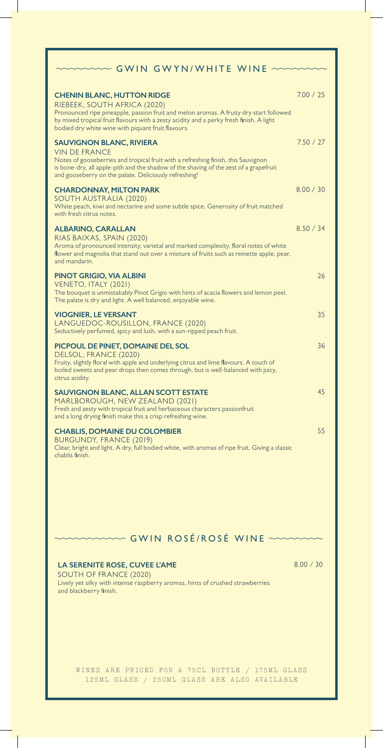| $\sim$ GWIN GWYN/WHITE WINE $\sim$                                                                                                                                                                                                                                                                           |           |
|--------------------------------------------------------------------------------------------------------------------------------------------------------------------------------------------------------------------------------------------------------------------------------------------------------------|-----------|
| <b>CHENIN BLANC, HUTTON RIDGE</b><br>RIEBEEK, SOUTH AFRICA (2020)<br>Pronounced ripe pineapple, passion fruit and melon aromas. A fruity dry start followed<br>by mixed tropical fruit flavours with a zesty acidity and a perky fresh finish. A light<br>bodied dry white wine with piquant fruit flavours. | 7.00 / 25 |
| <b>SAUVIGNON BLANC, RIVIERA</b><br><b>VIN DE FRANCE</b><br>Notes of gooseberries and tropical fruit with a refreshing finish, this Sauvignon<br>is bone-dry, all apple-pith and the shadow of the shaving of the zest of a grapefruit<br>and gooseberry on the palate. Deliciously refreshing!               | 7.50 / 27 |
| <b>CHARDONNAY, MILTON PARK</b><br>SOUTH AUSTRALIA (2020)<br>White peach, kiwi and nectarine and some subtle spice. Generosity of fruit matched<br>with fresh citrus notes.                                                                                                                                   | 8.00 / 30 |
| <b>ALBARINO, CARALLAN</b><br>RIAS BAIXAS, SPAIN (2020)<br>Aroma of pronounced intensity, varietal and marked complexity, floral notes of white<br>flower and magnolia that stand out over a mixture of fruits such as reinette apple, pear,<br>and mandarin.                                                 | 8.50 / 34 |
| PINOT GRIGIO, VIA ALBINI<br>VENETO, ITALY (2021)<br>The bouquet is unmistakably Pinot Grigio with hints of acacia flowers and lemon peel.<br>The palate is dry and light. A well balanced, enjoyable wine.                                                                                                   | 26        |
| <b>VIOGNIER, LE VERSANT</b><br>LANGUEDOC-ROUSILLON, FRANCE (2020)<br>Seductively perfumed, spicy and lush, with a sun-ripped peach fruit.                                                                                                                                                                    | 35        |
| PICPOUL DE PINET, DOMAINE DEL SOL<br>DELSOL, FRANCE (2020)<br>Fruity, slightly floral with apple and underlying citrus and lime flavours. A touch of<br>boiled sweets and pear drops then comes through, but is well-balanced with juicy,<br>citrus acidity.                                                 | 36        |
| <b>SAUVIGNON BLANC, ALLAN SCOTT ESTATE</b><br>MARLBOROUGH, NEW ZEALAND (2021)<br>Fresh and zesty with tropical fruit and herbaceous characters passionfruit<br>and a long drying finish make this a crisp refreshing wine.                                                                                   | 45        |
| <b>CHABLIS, DOMAINE DU COLOMBIER</b><br><b>BURGUNDY, FRANCE (2019)</b><br>Clear, bright and light. A dry, full bodied white, with aromas of ripe fruit. Giving a classic<br>chablis finish.                                                                                                                  | 55        |
| GWIN ROSÉ/ROSÉ WINE ~                                                                                                                                                                                                                                                                                        |           |
| LA SERENITE ROSE, CUVEE L'AME<br>SOUTH OF FRANCE (2020)<br>Lively yet silky with intense raspberry aromas, hints of crushed strawberries<br>and blackberry finish.                                                                                                                                           | 8.00 / 30 |

WINES ARE PRICED FOR A 75CL BOTTLE / 175ML GLASS 125ML GLASS / 250ML GLASS ARE ALSO AVAILABLE

 $\overline{\phantom{a}}_1$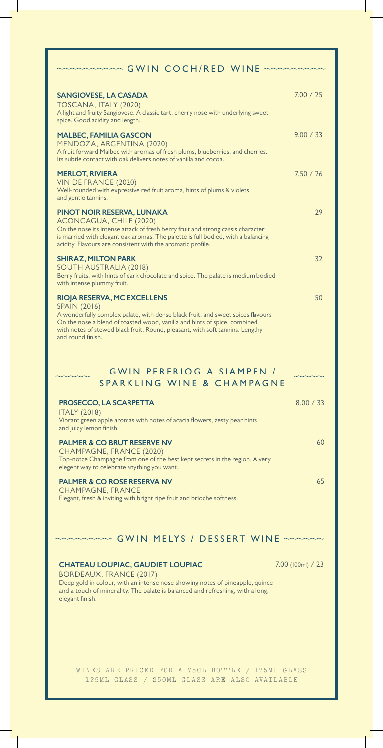| $\sim$ GWIN COCH/RED WINE $\sim$                                                                                                                                                                                                                                                                                  |                     |
|-------------------------------------------------------------------------------------------------------------------------------------------------------------------------------------------------------------------------------------------------------------------------------------------------------------------|---------------------|
| <b>SANGIOVESE, LA CASADA</b><br>TOSCANA, ITALY (2020)<br>A light and fruity Sangiovese. A classic tart, cherry nose with underlying sweet<br>spice. Good acidity and length.                                                                                                                                      | 7.00 / 25           |
| <b>MALBEC, FAMILIA GASCON</b><br>MENDOZA, ARGENTINA (2020)<br>A fruit forward Malbec with aromas of fresh plums, blueberries, and cherries.<br>Its subtle contact with oak delivers notes of vanilla and cocoa.                                                                                                   | 9.00 / 33           |
| <b>MERLOT, RIVIERA</b><br><b>VIN DE FRANCE (2020)</b><br>Well-rounded with expressive red fruit aroma, hints of plums & violets<br>and gentle tannins.                                                                                                                                                            | 7.50 / 26           |
| PINOT NOIR RESERVA, LUNAKA<br>ACONCAGUA, CHILE (2020)<br>On the nose its intense attack of fresh berry fruit and strong cassis character<br>is married with elegant oak aromas. The palette is full bodied, with a balancing<br>acidity. Flavours are consistent with the aromatic profile.                       | 29                  |
| <b>SHIRAZ, MILTON PARK</b><br>SOUTH AUSTRALIA (2018)<br>Berry fruits, with hints of dark chocolate and spice. The palate is medium bodied<br>with intense plummy fruit.                                                                                                                                           | 32                  |
| RIOJA RESERVA, MC EXCELLENS<br>SPAIN (2016)<br>A wonderfully complex palate, with dense black fruit, and sweet spices flavours<br>On the nose a blend of toasted wood, vanilla and hints of spice, combined<br>with notes of stewed black fruit. Round, pleasant, with soft tannins. Lengthy<br>and round finish. | 50                  |
|                                                                                                                                                                                                                                                                                                                   |                     |
| <b>GWIN PERFRIOG A SIAMPEN /</b><br>SPARKLING WINE & CHAMPAGNE                                                                                                                                                                                                                                                    |                     |
| PROSECCO, LA SCARPETTA<br><b>ITALY (2018)</b><br>Vibrant green apple aromas with notes of acacia flowers, zesty pear hints<br>and juicy lemon finish.                                                                                                                                                             | 8.00 / 33           |
| <b>PALMER &amp; CO BRUT RESERVE NV</b><br>CHAMPAGNE, FRANCE (2020)<br>Top-notce Champagne from one of the best kept secrets in the region. A very<br>elegent way to celebrate anything you want.                                                                                                                  | 60                  |
| <b>PALMER &amp; CO ROSE RESERVA NV</b><br><b>CHAMPAGNE, FRANCE</b><br>Elegant, fresh & inviting with bright ripe fruit and brioche softness.                                                                                                                                                                      | 65                  |
| $\sim$ GWIN MELYS / DESSERT WINE $\sim$                                                                                                                                                                                                                                                                           |                     |
| <b>CHATEAU LOUPIAC, GAUDIET LOUPIAC</b><br>BORDEAUX, FRANCE (2017)<br>Deep gold in colour, with an intense nose showing notes of pineapple, quince<br>and a touch of minerality. The palate is balanced and refreshing, with a long,<br>elegant finish.                                                           | $7.00$ (100ml) / 23 |

WINES ARE PRICED FOR A 75CL BOTTLE / 175ML GLASS 125ML GLASS / 250ML GLASS ARE ALSO AVAILABLE

 $\overline{\phantom{a}}_1$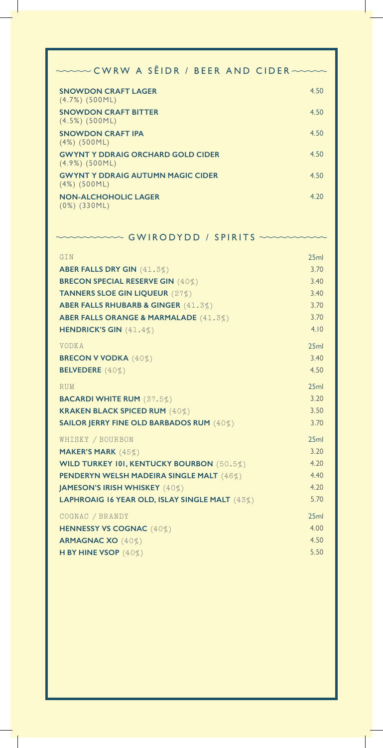| $\rightsquigarrow$ CWRW A SÊIDR / BEER AND CIDER $\rightsquigarrow$ |      |
|---------------------------------------------------------------------|------|
| <b>SNOWDON CRAFT LAGER</b><br>(4.7%) (500ML)                        | 4.50 |
| <b>SNOWDON CRAFT BITTER</b><br>$(4.5\%)$ (500ML)                    | 4.50 |
| <b>SNOWDON CRAFT IPA</b><br>(4%) (500ML)                            | 4.50 |
| <b>GWYNT Y DDRAIG ORCHARD GOLD CIDER</b><br>$(4.9\%)$ (500ML)       | 4.50 |
| <b>GWYNT Y DDRAIG AUTUMN MAGIC CIDER</b><br>(4%) (500ML)            | 4.50 |
| <b>NON-ALCHOHOLIC LAGER</b><br>$(0\%)$ $(330ML)$                    | 4.20 |

## $\sim$  GWIRODYDD / SPIRITS  $\sim$

| GTN                                              | 25ml |
|--------------------------------------------------|------|
| <b>ABER FALLS DRY GIN (41.3%)</b>                | 3.70 |
| <b>BRECON SPECIAL RESERVE GIN (40%)</b>          | 3.40 |
| <b>TANNERS SLOE GIN LIQUEUR (27%)</b>            | 3.40 |
| <b>ABER FALLS RHUBARB &amp; GINGER (41.3%)</b>   | 3.70 |
| <b>ABER FALLS ORANGE &amp; MARMALADE</b> (41.3%) | 3.70 |
| <b>HENDRICK'S GIN (41.4%)</b>                    | 4.10 |
| <b>VODKA</b>                                     | 25ml |
| <b>BRECON V VODKA (40%)</b>                      | 3.40 |
| <b>BELVEDERE</b> (40%)                           | 4.50 |
| <b>RUM</b>                                       | 25ml |
| <b>BACARDI WHITE RUM (37.5%)</b>                 | 3.20 |
| <b>KRAKEN BLACK SPICED RUM (40%)</b>             | 3.50 |
| <b>SAILOR JERRY FINE OLD BARBADOS RUM (40%)</b>  | 3.70 |
| WHISKY / BOURBON                                 | 25ml |
| <b>MAKER'S MARK</b> (45%)                        | 3.20 |
| <b>WILD TURKEY 101, KENTUCKY BOURBON (50.5%)</b> | 4.20 |
| <b>PENDERYN WELSH MADEIRA SINGLE MALT</b> (46%)  | 4.40 |
| <b>JAMESON'S IRISH WHISKEY (40%)</b>             | 4.20 |
| LAPHROAIG 16 YEAR OLD, ISLAY SINGLE MALT (43%)   | 5.70 |
| COGNAC / BRANDY                                  | 25ml |
| <b>HENNESSY VS COGNAC (40%)</b>                  | 4.00 |
| <b>ARMAGNAC XO (40%)</b>                         | 4.50 |
| H BY HINE VSOP (40%)                             | 5.50 |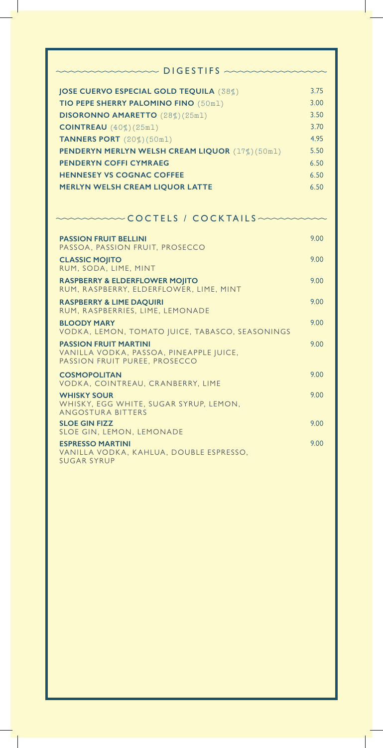| $\sim$ DIGESTIFS $\sim$ $\sim$                                                                           |      |
|----------------------------------------------------------------------------------------------------------|------|
|                                                                                                          |      |
| <b>JOSE CUERVO ESPECIAL GOLD TEQUILA (38%)</b>                                                           | 3.75 |
| TIO PEPE SHERRY PALOMINO FINO (50ml)                                                                     | 3.00 |
| <b>DISORONNO AMARETTO</b> (28%)(25ml)                                                                    | 3.50 |
| COINTREAU $(40\%)$ $(25m1)$                                                                              | 3.70 |
| <b>TANNERS PORT</b> (20%)(50ml)                                                                          | 4.95 |
| <b>PENDERYN MERLYN WELSH CREAM LIQUOR (17%)(50m1)</b>                                                    | 5.50 |
| <b>PENDERYN COFFI CYMRAEG</b>                                                                            | 6.50 |
| <b>HENNESEY VS COGNAC COFFEE</b>                                                                         | 6.50 |
| <b>MERLYN WELSH CREAM LIQUOR LATTE</b>                                                                   | 6.50 |
| $\rightsquigarrow$ COCTELS / COCKTAILS $\rightsquigarrow$                                                |      |
| <b>PASSION FRUIT BELLINI</b><br>PASSOA, PASSION FRUIT, PROSECCO                                          | 9.00 |
| <b>CLASSIC MOJITO</b><br>RUM, SODA, LIME, MINT                                                           | 9.00 |
| <b>RASPBERRY &amp; ELDERFLOWER MOJITO</b><br>RUM, RASPBERRY, ELDERFLOWER, LIME, MINT                     | 9.00 |
| <b>RASPBERRY &amp; LIME DAQUIRI</b><br>RUM, RASPBERRIES, LIME, LEMONADE                                  | 9.00 |
| <b>BLOODY MARY</b><br>VODKA, LEMON, TOMATO JUICE, TABASCO, SEASONINGS                                    | 9.00 |
| <b>PASSION FRUIT MARTINI</b><br>VANILLA VODKA, PASSOA, PINEAPPLE JUICE,<br>PASSION FRUIT PUREE, PROSECCO | 9.00 |
| <b>COSMOPOLITAN</b><br>VODKA, COINTREAU, CRANBERRY, LIME                                                 | 9.00 |
| <b>WHISKY SOUR</b><br>WHISKY, EGG WHITE, SUGAR SYRUP, LEMON,<br>ANGOSTURA BITTERS                        | 9.00 |
| <b>SLOE GIN FIZZ</b><br>SLOE GIN, LEMON, LEMONADE                                                        | 9.00 |
| <b>ESPRESSO MARTINI</b><br>VANILLA VODKA, KAHLUA, DOUBLE ESPRESSO,<br><b>SUGAR SYRUP</b>                 | 9.00 |